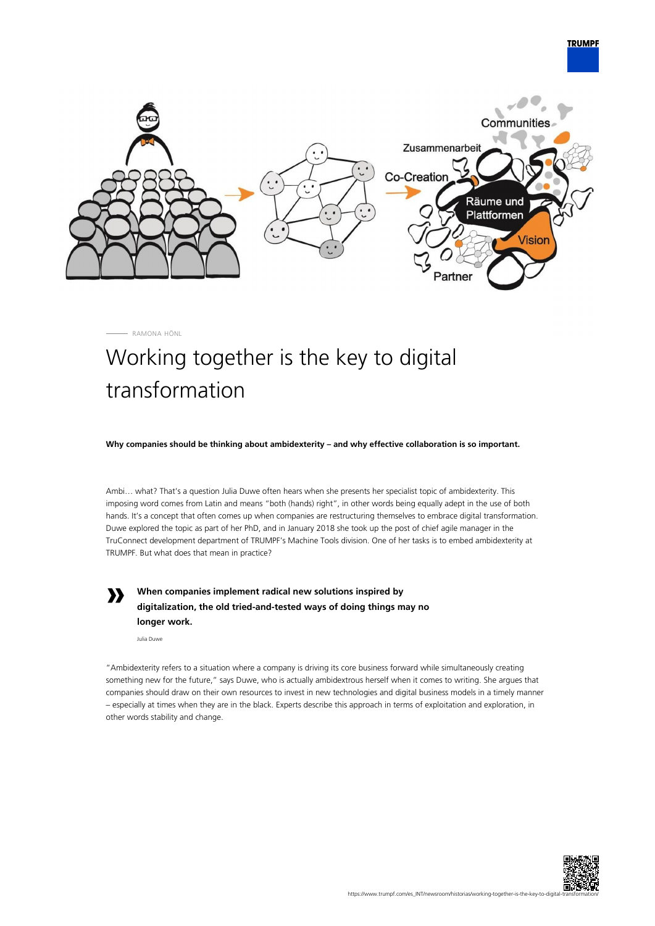

RAMONA HÖNL

## Working together is the key to digital transformation

**Why companies should be thinking about ambidexterity – and why effective collaboration is so important.**

Ambi… what? That's a question Julia Duwe often hears when she presents her specialist topic of ambidexterity. This imposing word comes from Latin and means "both (hands) right", in other words being equally adept in the use of both hands. It's a concept that often comes up when companies are restructuring themselves to embrace digital transformation. Duwe explored the topic as part of her PhD, and in January 2018 she took up the post of chief agile manager in the TruConnect development department of TRUMPF's Machine Tools division. One of her tasks is to embed ambidexterity at TRUMPF. But what does that mean in practice?

**»**

**When companies implement radical new solutions inspired by digitalization, the old tried-and-tested ways of doing things may no longer work.**

Julia Duwe

"Ambidexterity refers to a situation where a company is driving its core business forward while simultaneously creating something new for the future," says Duwe, who is actually ambidextrous herself when it comes to writing. She argues that companies should draw on their own resources to invest in new technologies and digital business models in a timely manner – especially at times when they are in the black. Experts describe this approach in terms of exploitation and exploration, in other words stability and change.



**TRUMPF**